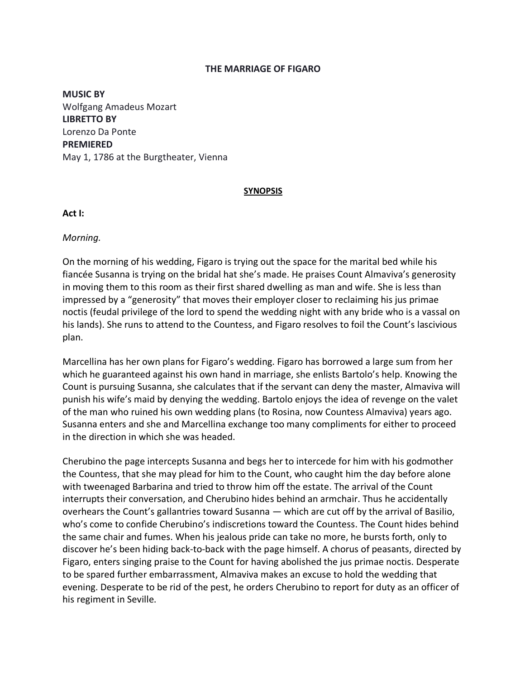#### **THE MARRIAGE OF FIGARO**

**MUSIC BY** Wolfgang Amadeus Mozart **LIBRETTO BY** Lorenzo Da Ponte **PREMIERED** May 1, 1786 at the Burgtheater, Vienna

#### **SYNOPSIS**

#### **Act I:**

*Morning.*

On the morning of his wedding, Figaro is trying out the space for the marital bed while his fiancée Susanna is trying on the bridal hat she's made. He praises Count Almaviva's generosity in moving them to this room as their first shared dwelling as man and wife. She is less than impressed by a "generosity" that moves their employer closer to reclaiming his jus primae noctis (feudal privilege of the lord to spend the wedding night with any bride who is a vassal on his lands). She runs to attend to the Countess, and Figaro resolves to foil the Count's lascivious plan.

Marcellina has her own plans for Figaro's wedding. Figaro has borrowed a large sum from her which he guaranteed against his own hand in marriage, she enlists Bartolo's help. Knowing the Count is pursuing Susanna, she calculates that if the servant can deny the master, Almaviva will punish his wife's maid by denying the wedding. Bartolo enjoys the idea of revenge on the valet of the man who ruined his own wedding plans (to Rosina, now Countess Almaviva) years ago. Susanna enters and she and Marcellina exchange too many compliments for either to proceed in the direction in which she was headed.

Cherubino the page intercepts Susanna and begs her to intercede for him with his godmother the Countess, that she may plead for him to the Count, who caught him the day before alone with tweenaged Barbarina and tried to throw him off the estate. The arrival of the Count interrupts their conversation, and Cherubino hides behind an armchair. Thus he accidentally overhears the Count's gallantries toward Susanna — which are cut off by the arrival of Basilio, who's come to confide Cherubino's indiscretions toward the Countess. The Count hides behind the same chair and fumes. When his jealous pride can take no more, he bursts forth, only to discover he's been hiding back-to-back with the page himself. A chorus of peasants, directed by Figaro, enters singing praise to the Count for having abolished the jus primae noctis. Desperate to be spared further embarrassment, Almaviva makes an excuse to hold the wedding that evening. Desperate to be rid of the pest, he orders Cherubino to report for duty as an officer of his regiment in Seville.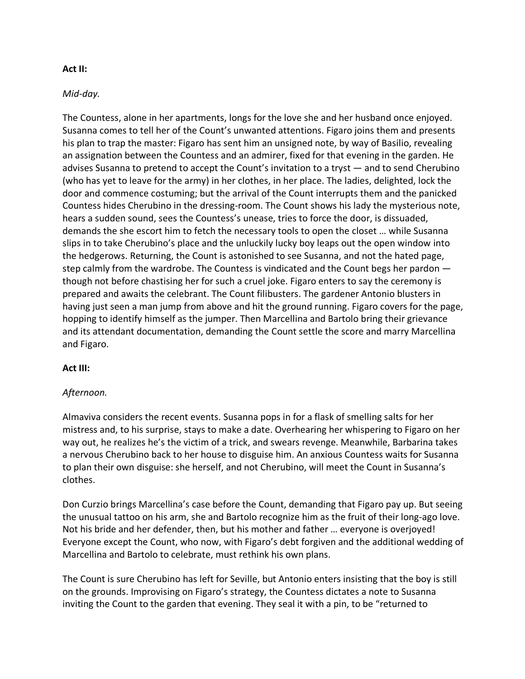## **Act II:**

### *Mid-day.*

The Countess, alone in her apartments, longs for the love she and her husband once enjoyed. Susanna comes to tell her of the Count's unwanted attentions. Figaro joins them and presents his plan to trap the master: Figaro has sent him an unsigned note, by way of Basilio, revealing an assignation between the Countess and an admirer, fixed for that evening in the garden. He advises Susanna to pretend to accept the Count's invitation to a tryst — and to send Cherubino (who has yet to leave for the army) in her clothes, in her place. The ladies, delighted, lock the door and commence costuming; but the arrival of the Count interrupts them and the panicked Countess hides Cherubino in the dressing-room. The Count shows his lady the mysterious note, hears a sudden sound, sees the Countess's unease, tries to force the door, is dissuaded, demands the she escort him to fetch the necessary tools to open the closet … while Susanna slips in to take Cherubino's place and the unluckily lucky boy leaps out the open window into the hedgerows. Returning, the Count is astonished to see Susanna, and not the hated page, step calmly from the wardrobe. The Countess is vindicated and the Count begs her pardon though not before chastising her for such a cruel joke. Figaro enters to say the ceremony is prepared and awaits the celebrant. The Count filibusters. The gardener Antonio blusters in having just seen a man jump from above and hit the ground running. Figaro covers for the page, hopping to identify himself as the jumper. Then Marcellina and Bartolo bring their grievance and its attendant documentation, demanding the Count settle the score and marry Marcellina and Figaro.

# **Act III:**

# *Afternoon.*

Almaviva considers the recent events. Susanna pops in for a flask of smelling salts for her mistress and, to his surprise, stays to make a date. Overhearing her whispering to Figaro on her way out, he realizes he's the victim of a trick, and swears revenge. Meanwhile, Barbarina takes a nervous Cherubino back to her house to disguise him. An anxious Countess waits for Susanna to plan their own disguise: she herself, and not Cherubino, will meet the Count in Susanna's clothes.

Don Curzio brings Marcellina's case before the Count, demanding that Figaro pay up. But seeing the unusual tattoo on his arm, she and Bartolo recognize him as the fruit of their long-ago love. Not his bride and her defender, then, but his mother and father … everyone is overjoyed! Everyone except the Count, who now, with Figaro's debt forgiven and the additional wedding of Marcellina and Bartolo to celebrate, must rethink his own plans.

The Count is sure Cherubino has left for Seville, but Antonio enters insisting that the boy is still on the grounds. Improvising on Figaro's strategy, the Countess dictates a note to Susanna inviting the Count to the garden that evening. They seal it with a pin, to be "returned to